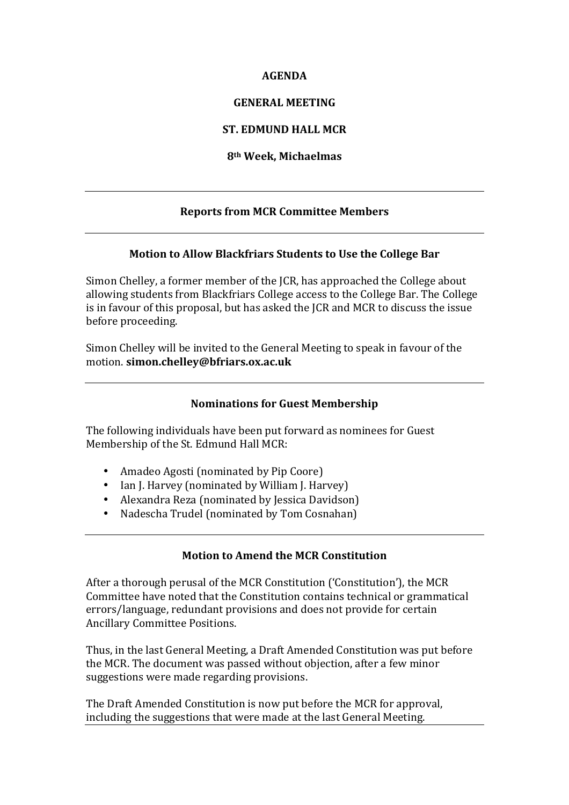### **AGENDA**

### **GENERAL MEETING**

## **ST. EDMUND HALL MCR**

### **8th Week, Michaelmas**

# **Reports from MCR Committee Members**

### **Motion to Allow Blackfriars Students to Use the College Bar**

Simon Chelley, a former member of the ICR, has approached the College about allowing students from Blackfriars College access to the College Bar. The College is in favour of this proposal, but has asked the JCR and MCR to discuss the issue before proceeding.

Simon Chelley will be invited to the General Meeting to speak in favour of the motion. **simon.chelley@bfriars.ox.ac.uk**

### **Nominations for Guest Membership**

The following individuals have been put forward as nominees for Guest Membership of the St. Edmund Hall MCR:

- Amadeo Agosti (nominated by Pip Coore)
- Ian J. Harvey (nominated by William J. Harvey)
- Alexandra Reza (nominated by Jessica Davidson)
- Nadescha Trudel (nominated by Tom Cosnahan)

## **Motion to Amend the MCR Constitution**

After a thorough perusal of the MCR Constitution ('Constitution'), the MCR Committee have noted that the Constitution contains technical or grammatical errors/language, redundant provisions and does not provide for certain Ancillary Committee Positions.

Thus, in the last General Meeting, a Draft Amended Constitution was put before the MCR. The document was passed without objection, after a few minor suggestions were made regarding provisions.

The Draft Amended Constitution is now put before the MCR for approval, including the suggestions that were made at the last General Meeting.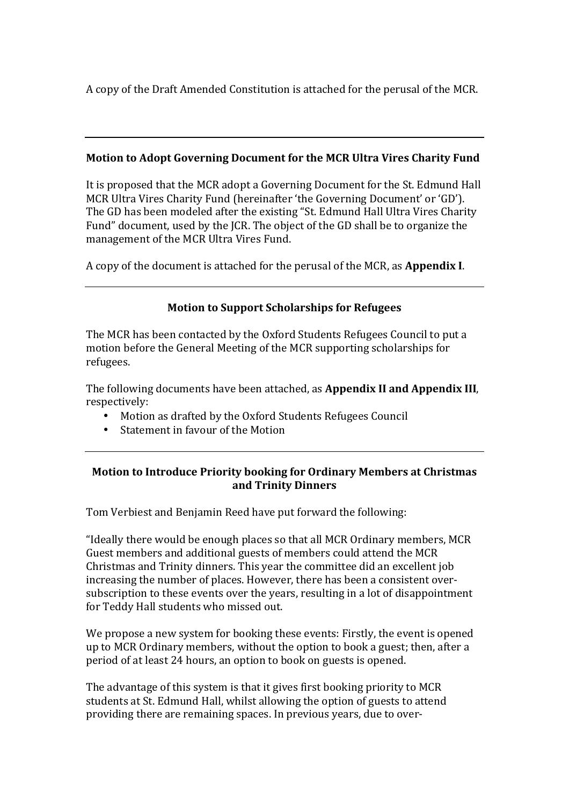A copy of the Draft Amended Constitution is attached for the perusal of the MCR.

# **Motion to Adopt Governing Document for the MCR Ultra Vires Charity Fund**

It is proposed that the MCR adopt a Governing Document for the St. Edmund Hall MCR Ultra Vires Charity Fund (hereinafter 'the Governing Document' or 'GD'). The GD has been modeled after the existing "St. Edmund Hall Ultra Vires Charity Fund" document, used by the JCR. The object of the GD shall be to organize the management of the MCR Ultra Vires Fund.

A copy of the document is attached for the perusal of the MCR, as **Appendix I**.

# **Motion to Support Scholarships for Refugees**

The MCR has been contacted by the Oxford Students Refugees Council to put a motion before the General Meeting of the MCR supporting scholarships for refugees.

The following documents have been attached, as **Appendix II** and **Appendix III**, respectively:

- Motion as drafted by the Oxford Students Refugees Council
- Statement in favour of the Motion

# **Motion to Introduce Priority booking for Ordinary Members at Christmas and Trinity Dinners**

Tom Verbiest and Benjamin Reed have put forward the following:

"Ideally there would be enough places so that all MCR Ordinary members, MCR Guest members and additional guests of members could attend the MCR Christmas and Trinity dinners. This year the committee did an excellent job increasing the number of places. However, there has been a consistent oversubscription to these events over the years, resulting in a lot of disappointment for Teddy Hall students who missed out.

We propose a new system for booking these events: Firstly, the event is opened up to MCR Ordinary members, without the option to book a guest; then, after a period of at least 24 hours, an option to book on guests is opened.

The advantage of this system is that it gives first booking priority to MCR students at St. Edmund Hall, whilst allowing the option of guests to attend providing there are remaining spaces. In previous years, due to over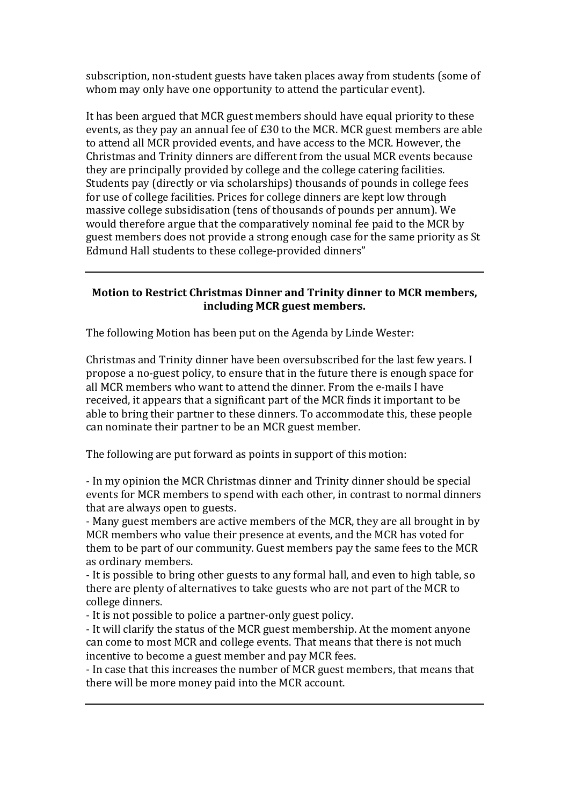subscription, non-student guests have taken places away from students (some of whom may only have one opportunity to attend the particular event).

It has been argued that MCR guest members should have equal priority to these events, as they pay an annual fee of  $£30$  to the MCR. MCR guest members are able to attend all MCR provided events, and have access to the MCR. However, the Christmas and Trinity dinners are different from the usual MCR events because they are principally provided by college and the college catering facilities. Students pay (directly or via scholarships) thousands of pounds in college fees for use of college facilities. Prices for college dinners are kept low through massive college subsidisation (tens of thousands of pounds per annum). We would therefore argue that the comparatively nominal fee paid to the MCR by guest members does not provide a strong enough case for the same priority as St Edmund Hall students to these college-provided dinners"

## **Motion to Restrict Christmas Dinner and Trinity dinner to MCR members, including MCR guest members.**

The following Motion has been put on the Agenda by Linde Wester:

Christmas and Trinity dinner have been oversubscribed for the last few years. I propose a no-guest policy, to ensure that in the future there is enough space for all MCR members who want to attend the dinner. From the e-mails I have received, it appears that a significant part of the MCR finds it important to be able to bring their partner to these dinners. To accommodate this, these people can nominate their partner to be an MCR guest member.

The following are put forward as points in support of this motion:

- In my opinion the MCR Christmas dinner and Trinity dinner should be special events for MCR members to spend with each other, in contrast to normal dinners that are always open to guests.

- Many guest members are active members of the MCR, they are all brought in by MCR members who value their presence at events, and the MCR has voted for them to be part of our community. Guest members pay the same fees to the MCR as ordinary members.

- It is possible to bring other guests to any formal hall, and even to high table, so there are plenty of alternatives to take guests who are not part of the MCR to college dinners.

- It is not possible to police a partner-only guest policy.

- It will clarify the status of the MCR guest membership. At the moment anyone can come to most MCR and college events. That means that there is not much incentive to become a guest member and pay MCR fees.

- In case that this increases the number of MCR guest members, that means that there will be more money paid into the MCR account.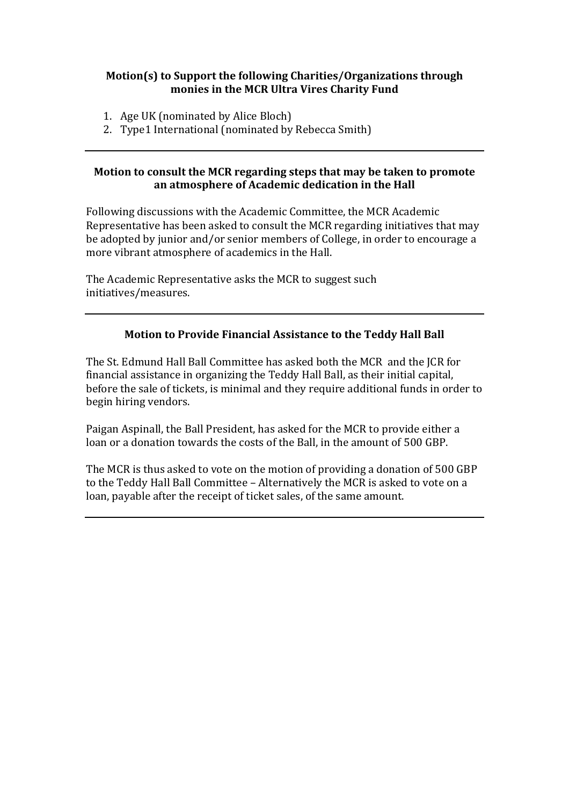## **Motion(s) to Support the following Charities/Organizations through** monies in the MCR Ultra Vires Charity Fund

- 1. Age UK (nominated by Alice Bloch)
- 2. Type1 International (nominated by Rebecca Smith)

## **Motion to consult the MCR regarding steps that may be taken to promote** an atmosphere of Academic dedication in the Hall

Following discussions with the Academic Committee, the MCR Academic Representative has been asked to consult the MCR regarding initiatives that may be adopted by junior and/or senior members of College, in order to encourage a more vibrant atmosphere of academics in the Hall.

The Academic Representative asks the MCR to suggest such initiatives/measures.

# **Motion to Provide Financial Assistance to the Teddy Hall Ball**

The St. Edmund Hall Ball Committee has asked both the MCR and the JCR for financial assistance in organizing the Teddy Hall Ball, as their initial capital, before the sale of tickets, is minimal and they require additional funds in order to begin hiring vendors.

Paigan Aspinall, the Ball President, has asked for the MCR to provide either a loan or a donation towards the costs of the Ball, in the amount of 500 GBP.

The MCR is thus asked to vote on the motion of providing a donation of 500 GBP to the Teddy Hall Ball Committee - Alternatively the MCR is asked to vote on a loan, payable after the receipt of ticket sales, of the same amount.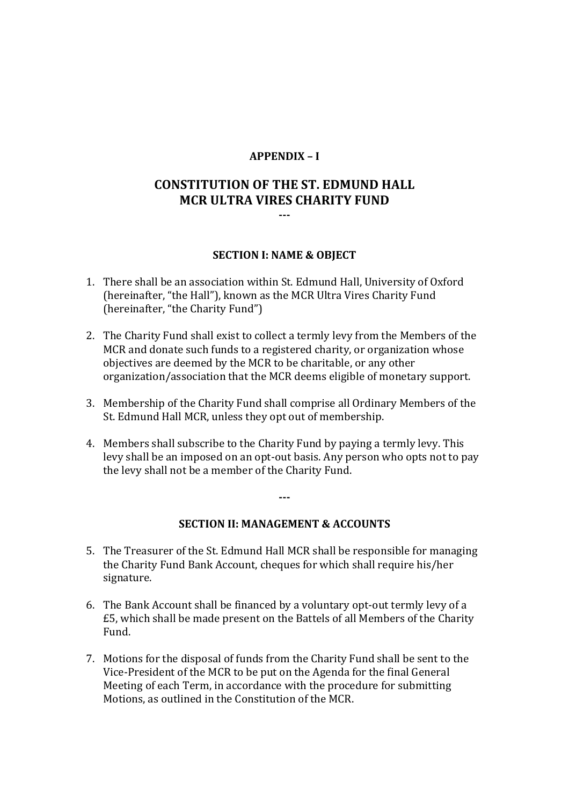### **APPENDIX – I**

# **CONSTITUTION OF THE ST. EDMUND HALL MCR ULTRA VIRES CHARITY FUND ---**

#### **SECTION I: NAME & OBJECT**

- 1. There shall be an association within St. Edmund Hall, University of Oxford (hereinafter, "the Hall"), known as the MCR Ultra Vires Charity Fund (hereinafter, "the Charity Fund")
- 2. The Charity Fund shall exist to collect a termly levy from the Members of the MCR and donate such funds to a registered charity, or organization whose objectives are deemed by the MCR to be charitable, or any other organization/association that the MCR deems eligible of monetary support.
- 3. Membership of the Charity Fund shall comprise all Ordinary Members of the St. Edmund Hall MCR, unless they opt out of membership.
- 4. Members shall subscribe to the Charity Fund by paying a termly levy. This levy shall be an imposed on an opt-out basis. Any person who opts not to pay the levy shall not be a member of the Charity Fund.

**---**

#### **SECTION II: MANAGEMENT & ACCOUNTS**

- 5. The Treasurer of the St. Edmund Hall MCR shall be responsible for managing the Charity Fund Bank Account, cheques for which shall require his/her signature.
- 6. The Bank Account shall be financed by a voluntary opt-out termly levy of a £5, which shall be made present on the Battels of all Members of the Charity Fund.
- 7. Motions for the disposal of funds from the Charity Fund shall be sent to the Vice-President of the MCR to be put on the Agenda for the final General Meeting of each Term, in accordance with the procedure for submitting Motions, as outlined in the Constitution of the MCR.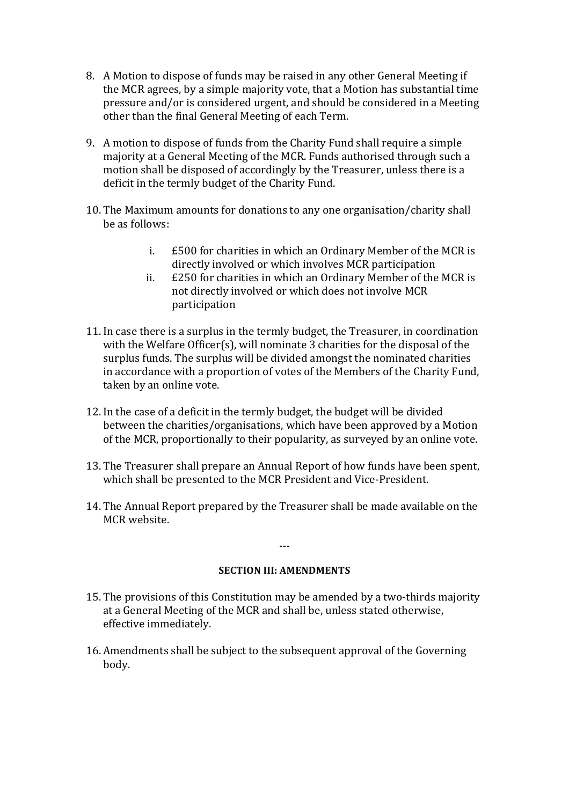- 8. A Motion to dispose of funds may be raised in any other General Meeting if the MCR agrees, by a simple majority vote, that a Motion has substantial time pressure and/or is considered urgent, and should be considered in a Meeting other than the final General Meeting of each Term.
- 9. A motion to dispose of funds from the Charity Fund shall require a simple majority at a General Meeting of the MCR. Funds authorised through such a motion shall be disposed of accordingly by the Treasurer, unless there is a deficit in the termly budget of the Charity Fund.
- 10. The Maximum amounts for donations to any one organisation/charity shall be as follows:
	- i.  $£500$  for charities in which an Ordinary Member of the MCR is directly involved or which involves MCR participation
	- ii.  $£250$  for charities in which an Ordinary Member of the MCR is not directly involved or which does not involve MCR participation
- 11. In case there is a surplus in the termly budget, the Treasurer, in coordination with the Welfare Officer(s), will nominate  $3$  charities for the disposal of the surplus funds. The surplus will be divided amongst the nominated charities in accordance with a proportion of votes of the Members of the Charity Fund, taken by an online vote.
- 12. In the case of a deficit in the termly budget, the budget will be divided between the charities/organisations, which have been approved by a Motion of the MCR, proportionally to their popularity, as surveyed by an online vote.
- 13. The Treasurer shall prepare an Annual Report of how funds have been spent, which shall be presented to the MCR President and Vice-President.
- 14. The Annual Report prepared by the Treasurer shall be made available on the MCR website.

#### **SECTION III: AMENDMENTS**

**---**

- 15. The provisions of this Constitution may be amended by a two-thirds majority at a General Meeting of the MCR and shall be, unless stated otherwise, effective immediately.
- 16. Amendments shall be subject to the subsequent approval of the Governing body.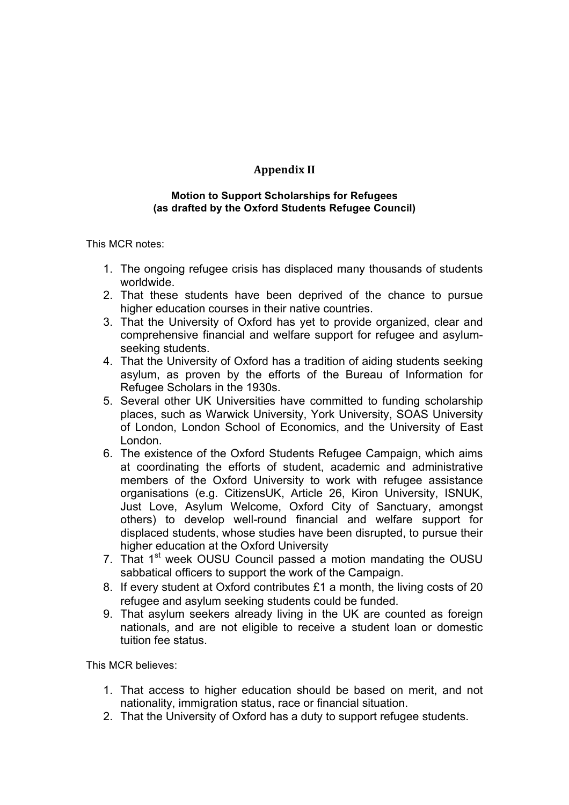# **Appendix II**

#### **Motion to Support Scholarships for Refugees (as drafted by the Oxford Students Refugee Council)**

This MCR notes:

- 1. The ongoing refugee crisis has displaced many thousands of students worldwide.
- 2. That these students have been deprived of the chance to pursue higher education courses in their native countries.
- 3. That the University of Oxford has yet to provide organized, clear and comprehensive financial and welfare support for refugee and asylumseeking students.
- 4. That the University of Oxford has a tradition of aiding students seeking asylum, as proven by the efforts of the Bureau of Information for Refugee Scholars in the 1930s.
- 5. Several other UK Universities have committed to funding scholarship places, such as Warwick University, York University, SOAS University of London, London School of Economics, and the University of East London.
- 6. The existence of the Oxford Students Refugee Campaign, which aims at coordinating the efforts of student, academic and administrative members of the Oxford University to work with refugee assistance organisations (e.g. CitizensUK, Article 26, Kiron University, ISNUK, Just Love, Asylum Welcome, Oxford City of Sanctuary, amongst others) to develop well-round financial and welfare support for displaced students, whose studies have been disrupted, to pursue their higher education at the Oxford University
- 7. That 1<sup>st</sup> week OUSU Council passed a motion mandating the OUSU sabbatical officers to support the work of the Campaign.
- 8. If every student at Oxford contributes £1 a month, the living costs of 20 refugee and asylum seeking students could be funded.
- 9. That asylum seekers already living in the UK are counted as foreign nationals, and are not eligible to receive a student loan or domestic tuition fee status.

This MCR believes:

- 1. That access to higher education should be based on merit, and not nationality, immigration status, race or financial situation.
- 2. That the University of Oxford has a duty to support refugee students.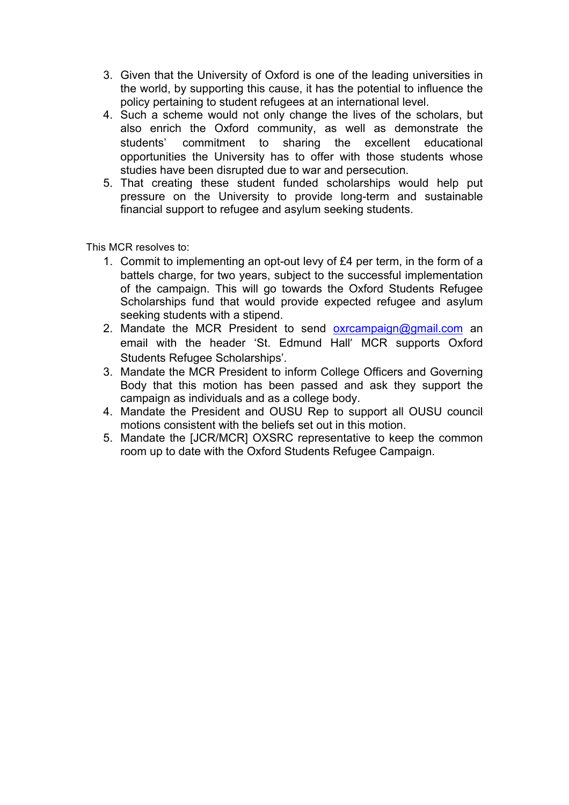- 3. Given that the University of Oxford is one of the leading universities in the world, by supporting this cause, it has the potential to influence the policy pertaining to student refugees at an international level.
- 4. Such a scheme would not only change the lives of the scholars, but also enrich the Oxford community, as well as demonstrate the students' commitment to sharing the excellent educational opportunities the University has to offer with those students whose studies have been disrupted due to war and persecution.
- 5. That creating these student funded scholarships would help put pressure on the University to provide long-term and sustainable financial support to refugee and asylum seeking students.

This MCR resolves to:

- 1. Commit to implementing an opt-out levy of £4 per term, in the form of a battels charge, for two years, subject to the successful implementation of the campaign. This will go towards the Oxford Students Refugee Scholarships fund that would provide expected refugee and asylum seeking students with a stipend.
- 2. Mandate the MCR President to send  $oxrcampajgn@gmail.com$  an email with the header 'St. Edmund Hall' MCR supports Oxford Students Refugee Scholarships'.
- 3. Mandate the MCR President to inform College Officers and Governing Body that this motion has been passed and ask they support the campaign as individuals and as a college body.
- 4. Mandate the President and OUSU Rep to support all OUSU council motions consistent with the beliefs set out in this motion.
- 5. Mandate the [JCR/MCR] OXSRC representative to keep the common room up to date with the Oxford Students Refugee Campaign.